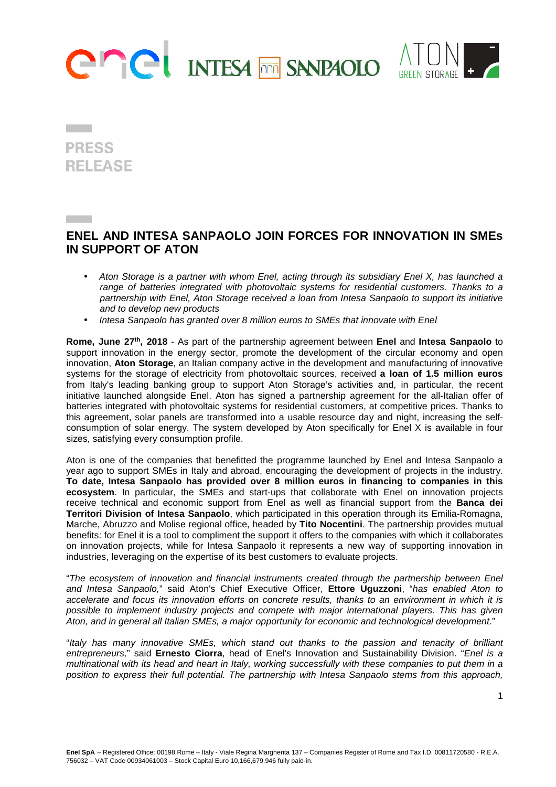



**PRESS RELEASE** 

## **ENEL AND INTESA SANPAOLO JOIN FORCES FOR INNOVATION IN SMEs IN SUPPORT OF ATON**

- Aton Storage is a partner with whom Enel, acting through its subsidiary Enel X, has launched a range of batteries integrated with photovoltaic systems for residential customers. Thanks to a partnership with Enel, Aton Storage received a loan from Intesa Sanpaolo to support its initiative and to develop new products
- Intesa Sanpaolo has granted over 8 million euros to SMEs that innovate with Enel

**Rome, June 27th, 2018** - As part of the partnership agreement between **Enel** and **Intesa Sanpaolo** to support innovation in the energy sector, promote the development of the circular economy and open innovation, **Aton Storage**, an Italian company active in the development and manufacturing of innovative systems for the storage of electricity from photovoltaic sources, received **a loan of 1.5 million euros** from Italy's leading banking group to support Aton Storage's activities and, in particular, the recent initiative launched alongside Enel. Aton has signed a partnership agreement for the all-Italian offer of batteries integrated with photovoltaic systems for residential customers, at competitive prices. Thanks to this agreement, solar panels are transformed into a usable resource day and night, increasing the selfconsumption of solar energy. The system developed by Aton specifically for Enel X is available in four sizes, satisfying every consumption profile.

Aton is one of the companies that benefitted the programme launched by Enel and Intesa Sanpaolo a year ago to support SMEs in Italy and abroad, encouraging the development of projects in the industry. **To date, Intesa Sanpaolo has provided over 8 million euros in financing to companies in this ecosystem**. In particular, the SMEs and start-ups that collaborate with Enel on innovation projects receive technical and economic support from Enel as well as financial support from the **Banca dei Territori Division of Intesa Sanpaolo**, which participated in this operation through its Emilia-Romagna, Marche, Abruzzo and Molise regional office, headed by **Tito Nocentini**. The partnership provides mutual benefits: for Enel it is a tool to compliment the support it offers to the companies with which it collaborates on innovation projects, while for Intesa Sanpaolo it represents a new way of supporting innovation in industries, leveraging on the expertise of its best customers to evaluate projects.

"The ecosystem of innovation and financial instruments created through the partnership between Enel and Intesa Sanpaolo," said Aton's Chief Executive Officer, **Ettore Uguzzoni**, "has enabled Aton to accelerate and focus its innovation efforts on concrete results, thanks to an environment in which it is possible to implement industry projects and compete with major international players. This has given Aton, and in general all Italian SMEs, a major opportunity for economic and technological development."

"Italy has many innovative SMEs, which stand out thanks to the passion and tenacity of brilliant entrepreneurs," said **Ernesto Ciorra**, head of Enel's Innovation and Sustainability Division. "Enel is a multinational with its head and heart in Italy, working successfully with these companies to put them in a position to express their full potential. The partnership with Intesa Sanpaolo stems from this approach,